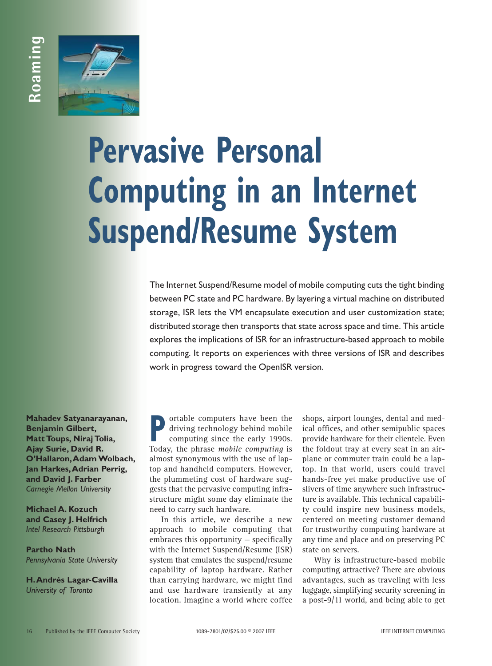

# **Pervasive Personal Computing in an Internet Suspend/Resume System 16 Published By School and Computer and Computer and Computer System and Computer Campus Computer System and Computer Campus Computer Society 1089-7802. The hearter stress of EX the term of the Art and Computer Society 10**

The Internet Suspend/Resume model of mobile computing cuts the tight binding between PC state and PC hardware. By layering a virtual machine on distributed storage, ISR lets the VM encapsulate execution and user customization state; distributed storage then transports that state across space and time. This article explores the implications of ISR for an infrastructure-based approach to mobile computing. It reports on experiences with three versions of ISR and describes work in progress toward the OpenISR version.

**Mahadev Satyanarayanan, Benjamin Gilbert, Matt Toups, Niraj Tolia, Ajay Surie, David R. O'Hallaron,Adam Wolbach, Jan Harkes,Adrian Perrig, and David J. Farber**  *Carnegie Mellon University*

**Michael A. Kozuch and Casey J. Helfrich** *Intel Research Pittsburgh*

**Partho Nath** *Pennsylvania State University*

**H.Andrés Lagar-Cavilla** *University of Toronto*

**Portable computers have been the driving technology behind mobile computing since the early 1990s.**<br>Today, the phrase mobile computing is driving technology behind mobile Today, the phrase *mobile computing* is almost synonymous with the use of laptop and handheld computers. However, the plummeting cost of hardware suggests that the pervasive computing infrastructure might some day eliminate the need to carry such hardware.

In this article, we describe a new approach to mobile computing that embraces this opportunity — specifically with the Internet Suspend/Resume (ISR) system that emulates the suspend/resume capability of laptop hardware. Rather than carrying hardware, we might find and use hardware transiently at any location. Imagine a world where coffee

shops, airport lounges, dental and medical offices, and other semipublic spaces provide hardware for their clientele. Even the foldout tray at every seat in an airplane or commuter train could be a laptop. In that world, users could travel hands-free yet make productive use of slivers of time anywhere such infrastructure is available. This technical capability could inspire new business models, centered on meeting customer demand for trustworthy computing hardware at any time and place and on preserving PC state on servers.

Why is infrastructure-based mobile computing attractive? There are obvious advantages, such as traveling with less luggage, simplifying security screening in a post-9/11 world, and being able to get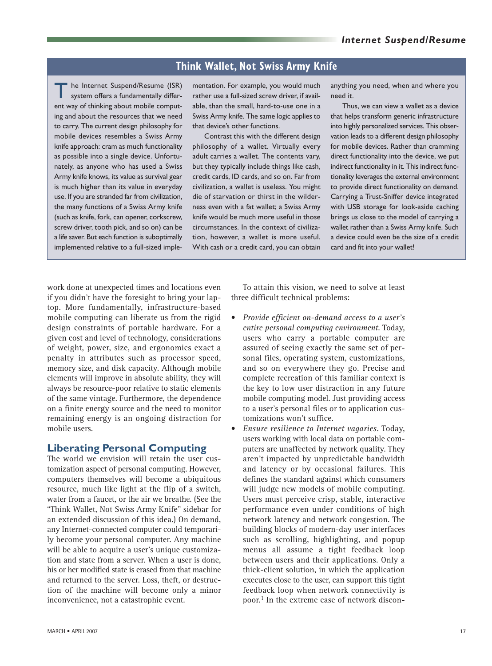## **Think Wallet, Not Swiss Army Knife**

The Internet Suspend/Resume (ISR)<br>system offers a fundamentally different way of thinking about mobile computing and about the resources that we need to carry. The current design philosophy for mobile devices resembles a Swiss Army knife approach: cram as much functionality as possible into a single device. Unfortunately, as anyone who has used a Swiss Army knife knows, its value as survival gear is much higher than its value in everyday use. If you are stranded far from civilization, the many functions of a Swiss Army knife (such as knife, fork, can opener, corkscrew, screw driver, tooth pick, and so on) can be a life saver. But each function is suboptimally implemented relative to a full-sized implementation. For example, you would much rather use a full-sized screw driver, if available, than the small, hard-to-use one in a Swiss Army knife. The same logic applies to that device's other functions.

Contrast this with the different design philosophy of a wallet. Virtually every adult carries a wallet. The contents vary, but they typically include things like cash, credit cards, ID cards, and so on. Far from civilization, a wallet is useless. You might die of starvation or thirst in the wilderness even with a fat wallet; a Swiss Army knife would be much more useful in those circumstances. In the context of civilization, however, a wallet is more useful. With cash or a credit card, you can obtain anything you need, when and where you need it.

Thus, we can view a wallet as a device that helps transform generic infrastructure into highly personalized services. This observation leads to a different design philosophy for mobile devices. Rather than cramming direct functionality into the device, we put indirect functionality in it. This indirect functionality leverages the external environment to provide direct functionality on demand. Carrying a Trust-Sniffer device integrated with USB storage for look-aside caching brings us close to the model of carrying a wallet rather than a Swiss Army knife. Such a device could even be the size of a credit card and fit into your wallet!

work done at unexpected times and locations even if you didn't have the foresight to bring your laptop. More fundamentally, infrastructure-based mobile computing can liberate us from the rigid design constraints of portable hardware. For a given cost and level of technology, considerations of weight, power, size, and ergonomics exact a penalty in attributes such as processor speed, memory size, and disk capacity. Although mobile elements will improve in absolute ability, they will always be resource-poor relative to static elements of the same vintage. Furthermore, the dependence on a finite energy source and the need to monitor remaining energy is an ongoing distraction for mobile users.

### **Liberating Personal Computing**

The world we envision will retain the user customization aspect of personal computing. However, computers themselves will become a ubiquitous resource, much like light at the flip of a switch, water from a faucet, or the air we breathe. (See the "Think Wallet, Not Swiss Army Knife" sidebar for an extended discussion of this idea.) On demand, any Internet-connected computer could temporarily become your personal computer. Any machine will be able to acquire a user's unique customization and state from a server. When a user is done, his or her modified state is erased from that machine and returned to the server. Loss, theft, or destruction of the machine will become only a minor inconvenience, not a catastrophic event.

To attain this vision, we need to solve at least three difficult technical problems:

- *Provide efficient on-demand access to a user's entire personal computing environment.* Today, users who carry a portable computer are assured of seeing exactly the same set of personal files, operating system, customizations, and so on everywhere they go. Precise and complete recreation of this familiar context is the key to low user distraction in any future mobile computing model. Just providing access to a user's personal files or to application customizations won't suffice.
	- *Ensure resilience to Internet vagaries.* Today, users working with local data on portable computers are unaffected by network quality. They aren't impacted by unpredictable bandwidth and latency or by occasional failures. This defines the standard against which consumers will judge new models of mobile computing. Users must perceive crisp, stable, interactive performance even under conditions of high network latency and network congestion. The building blocks of modern-day user interfaces such as scrolling, highlighting, and popup menus all assume a tight feedback loop between users and their applications. Only a thick-client solution, in which the application executes close to the user, can support this tight feedback loop when network connectivity is poor.<sup>1</sup> In the extreme case of network discon-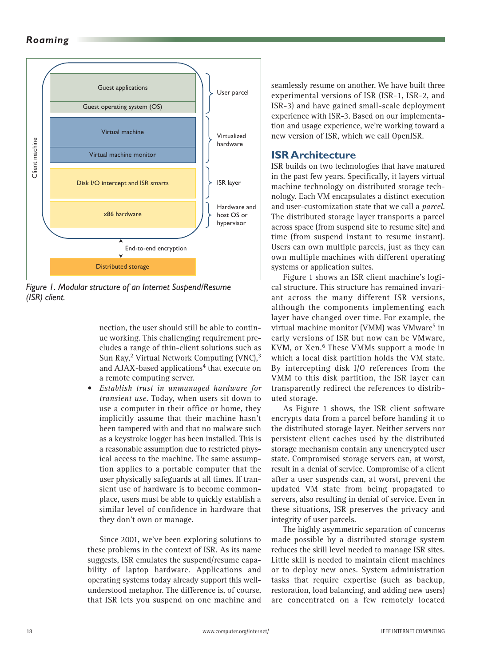### *Roaming*



*Figure 1. Modular structure of an Internet Suspend/Resume (ISR) client.*

nection, the user should still be able to continue working. This challenging requirement precludes a range of thin-client solutions such as Sun Ray,<sup>2</sup> Virtual Network Computing (VNC),<sup>3</sup> and AJAX-based applications<sup>4</sup> that execute on a remote computing server.

• *Establish trust in unmanaged hardware for transient use.* Today, when users sit down to use a computer in their office or home, they implicitly assume that their machine hasn't been tampered with and that no malware such as a keystroke logger has been installed. This is a reasonable assumption due to restricted physical access to the machine. The same assumption applies to a portable computer that the user physically safeguards at all times. If transient use of hardware is to become commonplace, users must be able to quickly establish a similar level of confidence in hardware that they don't own or manage.

Since 2001, we've been exploring solutions to these problems in the context of ISR. As its name suggests, ISR emulates the suspend/resume capability of laptop hardware. Applications and operating systems today already support this wellunderstood metaphor. The difference is, of course, that ISR lets you suspend on one machine and seamlessly resume on another. We have built three experimental versions of ISR (ISR-1, ISR-2, and ISR-3) and have gained small-scale deployment experience with ISR-3. Based on our implementation and usage experience, we're working toward a new version of ISR, which we call OpenISR.

### **ISR Architecture**

ISR builds on two technologies that have matured in the past few years. Specifically, it layers virtual machine technology on distributed storage technology. Each VM encapsulates a distinct execution and user-customization state that we call a *parcel*. The distributed storage layer transports a parcel across space (from suspend site to resume site) and time (from suspend instant to resume instant). Users can own multiple parcels, just as they can own multiple machines with different operating systems or application suites.

Figure 1 shows an ISR client machine's logical structure. This structure has remained invariant across the many different ISR versions, although the components implementing each layer have changed over time. For example, the virtual machine monitor (VMM) was VMware<sup>5</sup> in early versions of ISR but now can be VMware, KVM, or Xen.<sup>6</sup> These VMMs support a mode in which a local disk partition holds the VM state. By intercepting disk I/O references from the VMM to this disk partition, the ISR layer can transparently redirect the references to distributed storage.

As Figure 1 shows, the ISR client software encrypts data from a parcel before handing it to the distributed storage layer. Neither servers nor persistent client caches used by the distributed storage mechanism contain any unencrypted user state. Compromised storage servers can, at worst, result in a denial of service. Compromise of a client after a user suspends can, at worst, prevent the updated VM state from being propagated to servers, also resulting in denial of service. Even in these situations, ISR preserves the privacy and integrity of user parcels.

The highly asymmetric separation of concerns made possible by a distributed storage system reduces the skill level needed to manage ISR sites. Little skill is needed to maintain client machines or to deploy new ones. System administration tasks that require expertise (such as backup, restoration, load balancing, and adding new users) are concentrated on a few remotely located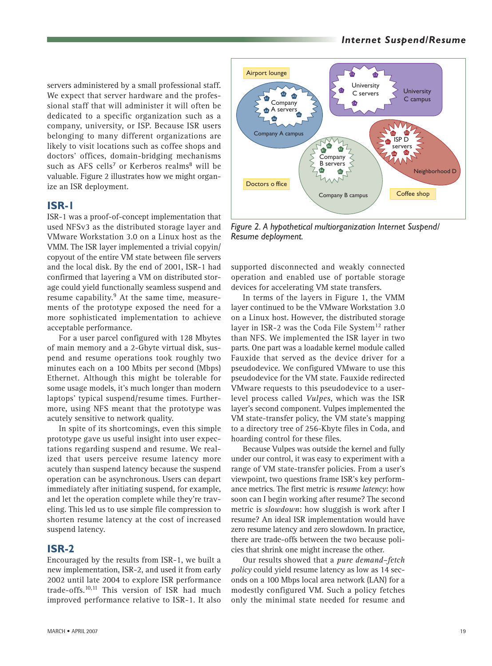### *Internet Suspend/Resume*

servers administered by a small professional staff. We expect that server hardware and the professional staff that will administer it will often be dedicated to a specific organization such as a company, university, or ISP. Because ISR users belonging to many different organizations are likely to visit locations such as coffee shops and doctors' offices, domain-bridging mechanisms such as AFS cells<sup>7</sup> or Kerberos realms<sup>8</sup> will be valuable. Figure 2 illustrates how we might organize an ISR deployment.

### **ISR-1**

ISR-1 was a proof-of-concept implementation that used NFSv3 as the distributed storage layer and VMware Workstation 3.0 on a Linux host as the VMM. The ISR layer implemented a trivial copyin/ copyout of the entire VM state between file servers and the local disk. By the end of 2001, ISR-1 had confirmed that layering a VM on distributed storage could yield functionally seamless suspend and resume capability.<sup>9</sup> At the same time, measurements of the prototype exposed the need for a more sophisticated implementation to achieve acceptable performance.

For a user parcel configured with 128 Mbytes of main memory and a 2-Gbyte virtual disk, suspend and resume operations took roughly two minutes each on a 100 Mbits per second (Mbps) Ethernet. Although this might be tolerable for some usage models, it's much longer than modern laptops' typical suspend/resume times. Furthermore, using NFS meant that the prototype was acutely sensitive to network quality.

In spite of its shortcomings, even this simple prototype gave us useful insight into user expectations regarding suspend and resume. We realized that users perceive resume latency more acutely than suspend latency because the suspend operation can be asynchronous. Users can depart immediately after initiating suspend, for example, and let the operation complete while they're traveling. This led us to use simple file compression to shorten resume latency at the cost of increased suspend latency.

### **ISR-2**

Encouraged by the results from ISR-1, we built a new implementation, ISR-2, and used it from early 2002 until late 2004 to explore ISR performance trade-offs.<sup>10,11</sup> This version of ISR had much improved performance relative to ISR-1. It also



*Figure 2. A hypothetical multiorganization Internet Suspend/ Resume deployment.*

supported disconnected and weakly connected operation and enabled use of portable storage devices for accelerating VM state transfers.

In terms of the layers in Figure 1, the VMM layer continued to be the VMware Workstation 3.0 on a Linux host. However, the distributed storage layer in ISR-2 was the Coda File System<sup>12</sup> rather than NFS. We implemented the ISR layer in two parts. One part was a loadable kernel module called Fauxide that served as the device driver for a pseudodevice. We configured VMware to use this pseudodevice for the VM state. Fauxide redirected VMware requests to this pseudodevice to a userlevel process called *Vulpes*, which was the ISR layer's second component. Vulpes implemented the VM state-transfer policy, the VM state's mapping to a directory tree of 256-Kbyte files in Coda, and hoarding control for these files.

Because Vulpes was outside the kernel and fully under our control, it was easy to experiment with a range of VM state-transfer policies. From a user's viewpoint, two questions frame ISR's key performance metrics. The first metric is *resume latency*: how soon can I begin working after resume? The second metric is *slowdown*: how sluggish is work after I resume? An ideal ISR implementation would have zero resume latency and zero slowdown. In practice, there are trade-offs between the two because policies that shrink one might increase the other.

Our results showed that a *pure demand–fetch policy* could yield resume latency as low as 14 seconds on a 100 Mbps local area network (LAN) for a modestly configured VM. Such a policy fetches only the minimal state needed for resume and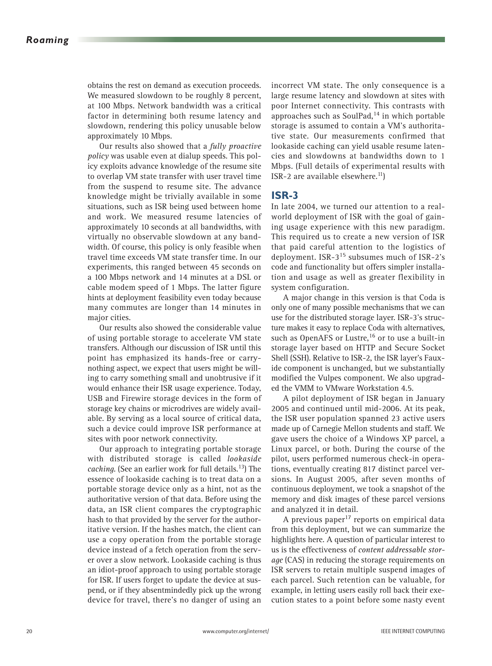obtains the rest on demand as execution proceeds. We measured slowdown to be roughly 8 percent, at 100 Mbps. Network bandwidth was a critical factor in determining both resume latency and slowdown, rendering this policy unusable below approximately 10 Mbps.

Our results also showed that a *fully proactive policy* was usable even at dialup speeds. This policy exploits advance knowledge of the resume site to overlap VM state transfer with user travel time from the suspend to resume site. The advance knowledge might be trivially available in some situations, such as ISR being used between home and work. We measured resume latencies of approximately 10 seconds at all bandwidths, with virtually no observable slowdown at any bandwidth. Of course, this policy is only feasible when travel time exceeds VM state transfer time. In our experiments, this ranged between 45 seconds on a 100 Mbps network and 14 minutes at a DSL or cable modem speed of 1 Mbps. The latter figure hints at deployment feasibility even today because many commutes are longer than 14 minutes in major cities.

Our results also showed the considerable value of using portable storage to accelerate VM state transfers. Although our discussion of ISR until this point has emphasized its hands-free or carrynothing aspect, we expect that users might be willing to carry something small and unobtrusive if it would enhance their ISR usage experience. Today, USB and Firewire storage devices in the form of storage key chains or microdrives are widely available. By serving as a local source of critical data, such a device could improve ISR performance at sites with poor network connectivity.

Our approach to integrating portable storage with distributed storage is called *lookaside caching*. (See an earlier work for full details.<sup>13</sup>) The essence of lookaside caching is to treat data on a portable storage device only as a hint, not as the authoritative version of that data. Before using the data, an ISR client compares the cryptographic hash to that provided by the server for the authoritative version. If the hashes match, the client can use a copy operation from the portable storage device instead of a fetch operation from the server over a slow network. Lookaside caching is thus an idiot-proof approach to using portable storage for ISR. If users forget to update the device at suspend, or if they absentmindedly pick up the wrong device for travel, there's no danger of using an

incorrect VM state. The only consequence is a large resume latency and slowdown at sites with poor Internet connectivity. This contrasts with approaches such as SoulPad,<sup>14</sup> in which portable storage is assumed to contain a VM's authoritative state. Our measurements confirmed that lookaside caching can yield usable resume latencies and slowdowns at bandwidths down to 1 Mbps. (Full details of experimental results with ISR-2 are available elsewhere.<sup>11</sup>)

### **ISR-3**

In late 2004, we turned our attention to a realworld deployment of ISR with the goal of gaining usage experience with this new paradigm. This required us to create a new version of ISR that paid careful attention to the logistics of deployment. ISR-3<sup>15</sup> subsumes much of ISR-2's code and functionality but offers simpler installation and usage as well as greater flexibility in system configuration.

A major change in this version is that Coda is only one of many possible mechanisms that we can use for the distributed storage layer. ISR-3's structure makes it easy to replace Coda with alternatives, such as OpenAFS or Lustre,<sup>16</sup> or to use a built-in storage layer based on HTTP and Secure Socket Shell (SSH). Relative to ISR-2, the ISR layer's Fauxide component is unchanged, but we substantially modified the Vulpes component. We also upgraded the VMM to VMware Workstation 4.5.

A pilot deployment of ISR began in January 2005 and continued until mid-2006. At its peak, the ISR user population spanned 23 active users made up of Carnegie Mellon students and staff. We gave users the choice of a Windows XP parcel, a Linux parcel, or both. During the course of the pilot, users performed numerous check-in operations, eventually creating 817 distinct parcel versions. In August 2005, after seven months of continuous deployment, we took a snapshot of the memory and disk images of these parcel versions and analyzed it in detail.

A previous paper $17$  reports on empirical data from this deployment, but we can summarize the highlights here. A question of particular interest to us is the effectiveness of *content addressable storage* (CAS) in reducing the storage requirements on ISR servers to retain multiple suspend images of each parcel. Such retention can be valuable, for example, in letting users easily roll back their execution states to a point before some nasty event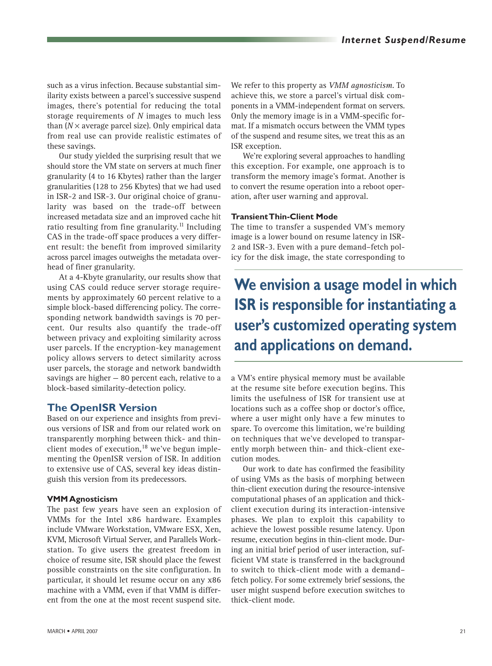such as a virus infection. Because substantial similarity exists between a parcel's successive suspend images, there's potential for reducing the total storage requirements of *N* images to much less than  $(N \times a)$  verage parcel size). Only empirical data from real use can provide realistic estimates of these savings.

Our study yielded the surprising result that we should store the VM state on servers at much finer granularity (4 to 16 Kbytes) rather than the larger granularities (128 to 256 Kbytes) that we had used in ISR-2 and ISR-3. Our original choice of granularity was based on the trade-off between increased metadata size and an improved cache hit ratio resulting from fine granularity.<sup>11</sup> Including CAS in the trade-off space produces a very different result: the benefit from improved similarity across parcel images outweighs the metadata overhead of finer granularity.

At a 4-Kbyte granularity, our results show that using CAS could reduce server storage requirements by approximately 60 percent relative to a simple block-based differencing policy. The corresponding network bandwidth savings is 70 percent. Our results also quantify the trade-off between privacy and exploiting similarity across user parcels. If the encryption-key management policy allows servers to detect similarity across user parcels, the storage and network bandwidth savings are higher — 80 percent each, relative to a block-based similarity-detection policy.

### **The OpenISR Version**

Based on our experience and insights from previous versions of ISR and from our related work on transparently morphing between thick- and thinclient modes of execution, $18$  we've begun implementing the OpenISR version of ISR. In addition to extensive use of CAS, several key ideas distinguish this version from its predecessors.

### **VMM Agnosticism**

The past few years have seen an explosion of VMMs for the Intel x86 hardware. Examples include VMware Workstation, VMware ESX, Xen, KVM, Microsoft Virtual Server, and Parallels Workstation. To give users the greatest freedom in choice of resume site, ISR should place the fewest possible constraints on the site configuration. In particular, it should let resume occur on any x86 machine with a VMM, even if that VMM is different from the one at the most recent suspend site.

We refer to this property as *VMM agnosticism*. To achieve this, we store a parcel's virtual disk components in a VMM-independent format on servers. Only the memory image is in a VMM-specific format. If a mismatch occurs between the VMM types of the suspend and resume sites, we treat this as an ISR exception.

We're exploring several approaches to handling this exception. For example, one approach is to transform the memory image's format. Another is to convert the resume operation into a reboot operation, after user warning and approval.

### **Transient Thin-Client Mode**

The time to transfer a suspended VM's memory image is a lower bound on resume latency in ISR-2 and ISR-3. Even with a pure demand–fetch policy for the disk image, the state corresponding to

# **We envision a usage model in which ISR is responsible for instantiating a user's customized operating system and applications on demand.**

a VM's entire physical memory must be available at the resume site before execution begins. This limits the usefulness of ISR for transient use at locations such as a coffee shop or doctor's office, where a user might only have a few minutes to spare. To overcome this limitation, we're building on techniques that we've developed to transparently morph between thin- and thick-client execution modes.

Our work to date has confirmed the feasibility of using VMs as the basis of morphing between thin-client execution during the resource-intensive computational phases of an application and thickclient execution during its interaction-intensive phases. We plan to exploit this capability to achieve the lowest possible resume latency. Upon resume, execution begins in thin-client mode. During an initial brief period of user interaction, sufficient VM state is transferred in the background to switch to thick-client mode with a demand– fetch policy. For some extremely brief sessions, the user might suspend before execution switches to thick-client mode.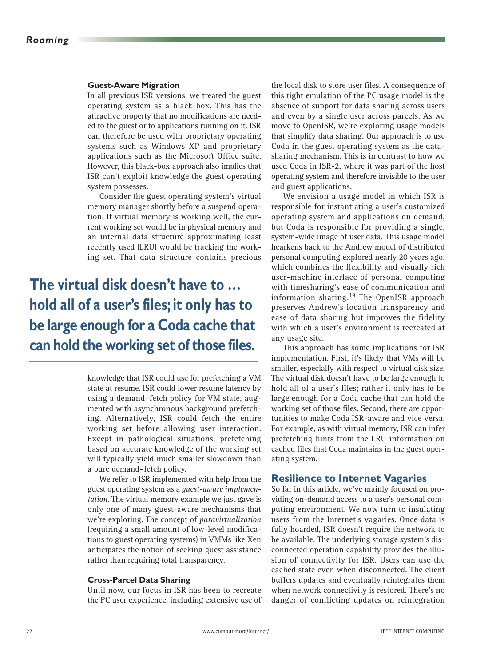### **Guest-Aware Migration**

In all previous ISR versions, we treated the guest operating system as a black box. This has the attractive property that no modifications are needed to the guest or to applications running on it. ISR can therefore be used with proprietary operating systems such as Windows XP and proprietary applications such as the Microsoft Office suite. However, this black-box approach also implies that ISR can't exploit knowledge the guest operating system possesses.

Consider the guest operating system's virtual memory manager shortly before a suspend operation. If virtual memory is working well, the current working set would be in physical memory and an internal data structure approximating least recently used (LRU) would be tracking the working set. That data structure contains precious

# **The virtual disk doesn't have to … hold all of a user's files; it only has to be large enough for a Coda cache that can hold the working set of those files.**

knowledge that ISR could use for prefetching a VM state at resume. ISR could lower resume latency by using a demand–fetch policy for VM state, augmented with asynchronous background prefetching. Alternatively, ISR could fetch the entire working set before allowing user interaction. Except in pathological situations, prefetching based on accurate knowledge of the working set will typically yield much smaller slowdown than a pure demand–fetch policy.

We refer to ISR implemented with help from the guest operating system as a *guest-aware implementation*. The virtual memory example we just gave is only one of many guest-aware mechanisms that we're exploring. The concept of *paravirtualization* (requiring a small amount of low-level modifications to guest operating systems) in VMMs like Xen anticipates the notion of seeking guest assistance rather than requiring total transparency.

### **Cross-Parcel Data Sharing**

Until now, our focus in ISR has been to recreate the PC user experience, including extensive use of

the local disk to store user files. A consequence of this tight emulation of the PC usage model is the absence of support for data sharing across users and even by a single user across parcels. As we move to OpenISR, we're exploring usage models that simplify data sharing. Our approach is to use Coda in the guest operating system as the datasharing mechanism. This is in contrast to how we used Coda in ISR-2, where it was part of the host operating system and therefore invisible to the user and guest applications.

We envision a usage model in which ISR is responsible for instantiating a user's customized operating system and applications on demand, but Coda is responsible for providing a single, system-wide image of user data. This usage model hearkens back to the Andrew model of distributed personal computing explored nearly 20 years ago, which combines the flexibility and visually rich user-machine interface of personal computing with timesharing's ease of communication and information sharing.<sup>19</sup> The OpenISR approach preserves Andrew's location transparency and ease of data sharing but improves the fidelity with which a user's environment is recreated at any usage site.

This approach has some implications for ISR implementation. First, it's likely that VMs will be smaller, especially with respect to virtual disk size. The virtual disk doesn't have to be large enough to hold all of a user's files; rather it only has to be large enough for a Coda cache that can hold the working set of those files. Second, there are opportunities to make Coda ISR-aware and vice versa. For example, as with virtual memory, ISR can infer prefetching hints from the LRU information on cached files that Coda maintains in the guest operating system.

### **Resilience to Internet Vagaries**

So far in this article, we've mainly focused on providing on-demand access to a user's personal computing environment. We now turn to insulating users from the Internet's vagaries. Once data is fully hoarded, ISR doesn't require the network to be available. The underlying storage system's disconnected operation capability provides the illusion of connectivity for ISR. Users can use the cached state even when disconnected. The client buffers updates and eventually reintegrates them when network connectivity is restored. There's no danger of conflicting updates on reintegration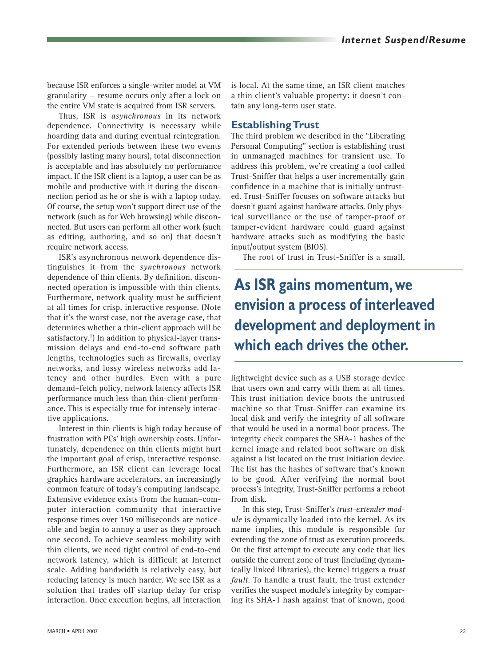because ISR enforces a single-writer model at VM granularity — resume occurs only after a lock on the entire VM state is acquired from ISR servers.

Thus, ISR is *asynchronous* in its network dependence. Connectivity is necessary while hoarding data and during eventual reintegration. For extended periods between these two events (possibly lasting many hours), total disconnection is acceptable and has absolutely no performance impact. If the ISR client is a laptop, a user can be as mobile and productive with it during the disconnection period as he or she is with a laptop today. Of course, the setup won't support direct use of the network (such as for Web browsing) while disconnected. But users can perform all other work (such as editing, authoring, and so on) that doesn't require network access.

ISR's asynchronous network dependence distinguishes it from the *synchronous* network dependence of thin clients. By definition, disconnected operation is impossible with thin clients. Furthermore, network quality must be sufficient at all times for crisp, interactive response. (Note that it's the worst case, not the average case, that determines whether a thin-client approach will be satisfactory.<sup>1</sup>) In addition to physical-layer transmission delays and end-to-end software path lengths, technologies such as firewalls, overlay networks, and lossy wireless networks add latency and other hurdles. Even with a pure demand–fetch policy, network latency affects ISR performance much less than thin-client performance. This is especially true for intensely interactive applications.

Interest in thin clients is high today because of frustration with PCs' high ownership costs. Unfortunately, dependence on thin clients might hurt the important goal of crisp, interactive response. Furthermore, an ISR client can leverage local graphics hardware accelerators, an increasingly common feature of today's computing landscape. Extensive evidence exists from the human–computer interaction community that interactive response times over 150 milliseconds are noticeable and begin to annoy a user as they approach one second. To achieve seamless mobility with thin clients, we need tight control of end-to-end network latency, which is difficult at Internet scale. Adding bandwidth is relatively easy, but reducing latency is much harder. We see ISR as a solution that trades off startup delay for crisp interaction. Once execution begins, all interaction

is local. At the same time, an ISR client matches a thin client's valuable property: it doesn't contain any long-term user state.

### **Establishing Trust**

The third problem we described in the "Liberating Personal Computing" section is establishing trust in unmanaged machines for transient use. To address this problem, we're creating a tool called Trust-Sniffer that helps a user incrementally gain confidence in a machine that is initially untrusted. Trust-Sniffer focuses on software attacks but doesn't guard against hardware attacks. Only physical surveillance or the use of tamper-proof or tamper-evident hardware could guard against hardware attacks such as modifying the basic input/output system (BIOS).

The root of trust in Trust-Sniffer is a small,

# **As ISR gains momentum, we envision a process of interleaved development and deployment in which each drives the other.**

lightweight device such as a USB storage device that users own and carry with them at all times. This trust initiation device boots the untrusted machine so that Trust-Sniffer can examine its local disk and verify the integrity of all software that would be used in a normal boot process. The integrity check compares the SHA-1 hashes of the kernel image and related boot software on disk against a list located on the trust initiation device. The list has the hashes of software that's known to be good. After verifying the normal boot process's integrity, Trust-Sniffer performs a reboot from disk.

In this step, Trust-Sniffer's *trust-extender module* is dynamically loaded into the kernel. As its name implies, this module is responsible for extending the zone of trust as execution proceeds. On the first attempt to execute any code that lies outside the current zone of trust (including dynamically linked libraries), the kernel triggers a *trust fault*. To handle a trust fault, the trust extender verifies the suspect module's integrity by comparing its SHA-1 hash against that of known, good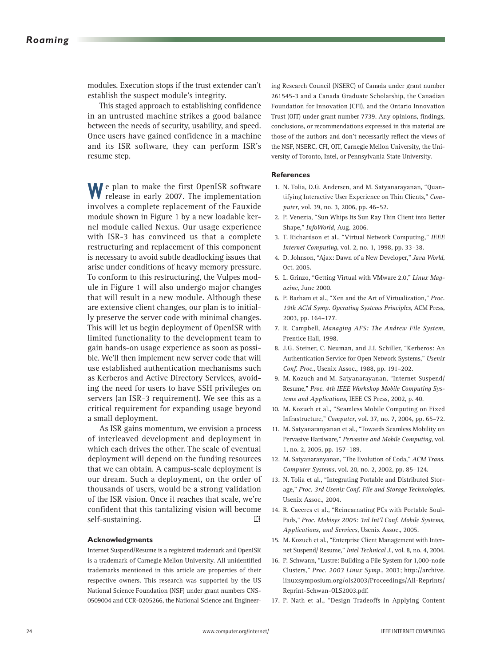modules. Execution stops if the trust extender can't establish the suspect module's integrity.

This staged approach to establishing confidence in an untrusted machine strikes a good balance between the needs of security, usability, and speed. Once users have gained confidence in a machine and its ISR software, they can perform ISR's resume step.

We plan to make the first OpenISR software<br>release in early 2007. The implementation involves a complete replacement of the Fauxide module shown in Figure 1 by a new loadable kernel module called Nexus. Our usage experience with ISR-3 has convinced us that a complete restructuring and replacement of this component is necessary to avoid subtle deadlocking issues that arise under conditions of heavy memory pressure. To conform to this restructuring, the Vulpes module in Figure 1 will also undergo major changes that will result in a new module. Although these are extensive client changes, our plan is to initially preserve the server code with minimal changes. This will let us begin deployment of OpenISR with limited functionality to the development team to gain hands-on usage experience as soon as possible. We'll then implement new server code that will use established authentication mechanisms such as Kerberos and Active Directory Services, avoiding the need for users to have SSH privileges on servers (an ISR-3 requirement). We see this as a critical requirement for expanding usage beyond a small deployment.

As ISR gains momentum, we envision a process of interleaved development and deployment in which each drives the other. The scale of eventual deployment will depend on the funding resources that we can obtain. A campus-scale deployment is our dream. Such a deployment, on the order of thousands of users, would be a strong validation of the ISR vision. Once it reaches that scale, we're confident that this tantalizing vision will become self-sustaining. **TG** 

### **Acknowledgments**

Internet Suspend/Resume is a registered trademark and OpenISR is a trademark of Carnegie Mellon University. All unidentified trademarks mentioned in this article are properties of their respective owners. This research was supported by the US National Science Foundation (NSF) under grant numbers CNS-0509004 and CCR-0205266, the National Science and Engineering Research Council (NSERC) of Canada under grant number 261545-3 and a Canada Graduate Scholarship, the Canadian Foundation for Innovation (CFI), and the Ontario Innovation Trust (OIT) under grant number 7739. Any opinions, findings, conclusions, or recommendations expressed in this material are those of the authors and don't necessarily reflect the views of the NSF, NSERC, CFI, OIT, Carnegie Mellon University, the University of Toronto, Intel, or Pennsylvania State University.

### **References**

- 1. N. Tolia, D.G. Andersen, and M. Satyanarayanan, "Quantifying Interactive User Experience on Thin Clients," *Computer*, vol. 39, no. 3, 2006, pp. 46–52.
- 2. P. Venezia, "Sun Whips Its Sun Ray Thin Client into Better Shape," *InfoWorld*, Aug. 2006.
- 3. T. Richardson et al., "Virtual Network Computing," *IEEE Internet Computing*, vol. 2, no. 1, 1998, pp. 33–38.
- 4. D. Johnson, "Ajax: Dawn of a New Developer," *Java World*, Oct. 2005.
- 5. L. Grinzo, "Getting Virtual with VMware 2.0," *Linux Magazine*, June 2000.
- 6. P. Barham et al., "Xen and the Art of Virtualization," *Proc. 19th ACM Symp. Operating Systems Principles*, ACM Press, 2003, pp. 164–177.
- 7. R. Campbell, *Managing AFS: The Andrew File System*, Prentice Hall, 1998.
- 8. J.G. Steiner, C. Neuman, and J.I. Schiller, "Kerberos: An Authentication Service for Open Network Systems," *Usenix Conf. Proc*., Usenix Assoc., 1988, pp. 191–202.
- 9. M. Kozuch and M. Satyanarayanan, "Internet Suspend/ Resume," *Proc. 4th IEEE Workshop Mobile Computing Systems and Applications*, IEEE CS Press, 2002, p. 40.
- 10. M. Kozuch et al., "Seamless Mobile Computing on Fixed Infrastructure," *Computer*, vol. 37, no. 7, 2004, pp. 65–72.
- 11. M. Satyanaranyanan et al., "Towards Seamless Mobility on Pervasive Hardware," *Pervasive and Mobile Computing*, vol. 1, no. 2, 2005, pp. 157–189.
- 12. M. Satyanaranyanan, "The Evolution of Coda," *ACM Trans. Computer Systems*, vol. 20, no. 2, 2002, pp. 85–124.
- 13. N. Tolia et al., "Integrating Portable and Distributed Storage," *Proc. 3rd Usenix Conf. File and Storage Technologies*, Usenix Assoc., 2004.
- 14. R. Caceres et al., "Reincarnating PCs with Portable Soul-Pads," *Proc. Mobisys 2005: 3rd Int'l Conf. Mobile Systems, Applications, and Services*, Usenix Assoc., 2005.
- 15. M. Kozuch et al., "Enterprise Client Management with Internet Suspend/ Resume," *Intel Technical J*., vol. 8, no. 4, 2004.
- 16. P. Schwann, "Lustre: Building a File System for 1,000-node Clusters," *Proc. 2003 Linux Symp*., 2003; http://archive. linuxsymposium.org/ols2003/Proceedings/All-Reprints/ Reprint-Schwan-OLS2003.pdf.
- 17. P. Nath et al., "Design Tradeoffs in Applying Content